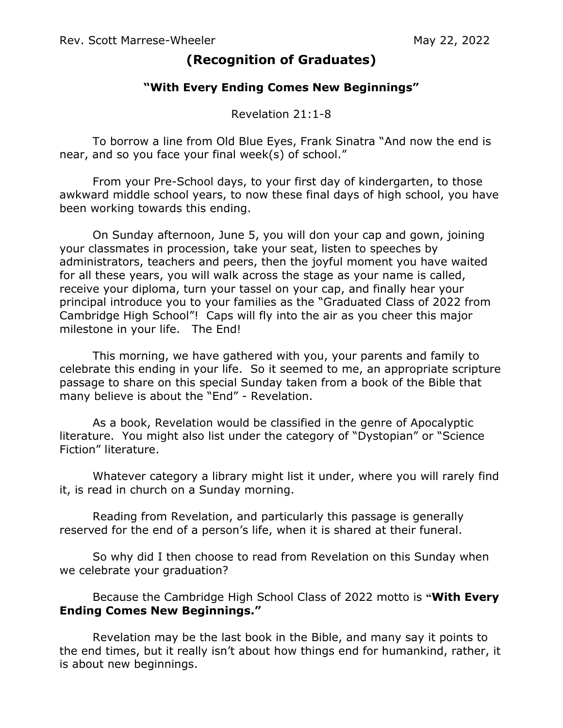## **(Recognition of Graduates)**

## **"With Every Ending Comes New Beginnings"**

Revelation 21:1-8

To borrow a line from Old Blue Eyes, Frank Sinatra "And now the end is near, and so you face your final week(s) of school."

From your Pre-School days, to your first day of kindergarten, to those awkward middle school years, to now these final days of high school, you have been working towards this ending.

On Sunday afternoon, June 5, you will don your cap and gown, joining your classmates in procession, take your seat, listen to speeches by administrators, teachers and peers, then the joyful moment you have waited for all these years, you will walk across the stage as your name is called, receive your diploma, turn your tassel on your cap, and finally hear your principal introduce you to your families as the "Graduated Class of 2022 from Cambridge High School"! Caps will fly into the air as you cheer this major milestone in your life. The End!

This morning, we have gathered with you, your parents and family to celebrate this ending in your life. So it seemed to me, an appropriate scripture passage to share on this special Sunday taken from a book of the Bible that many believe is about the "End" - Revelation.

As a book, Revelation would be classified in the genre of Apocalyptic literature. You might also list under the category of "Dystopian" or "Science Fiction" literature.

Whatever category a library might list it under, where you will rarely find it, is read in church on a Sunday morning.

Reading from Revelation, and particularly this passage is generally reserved for the end of a person's life, when it is shared at their funeral.

So why did I then choose to read from Revelation on this Sunday when we celebrate your graduation?

## Because the Cambridge High School Class of 2022 motto is **"With Every Ending Comes New Beginnings."**

Revelation may be the last book in the Bible, and many say it points to the end times, but it really isn't about how things end for humankind, rather, it is about new beginnings.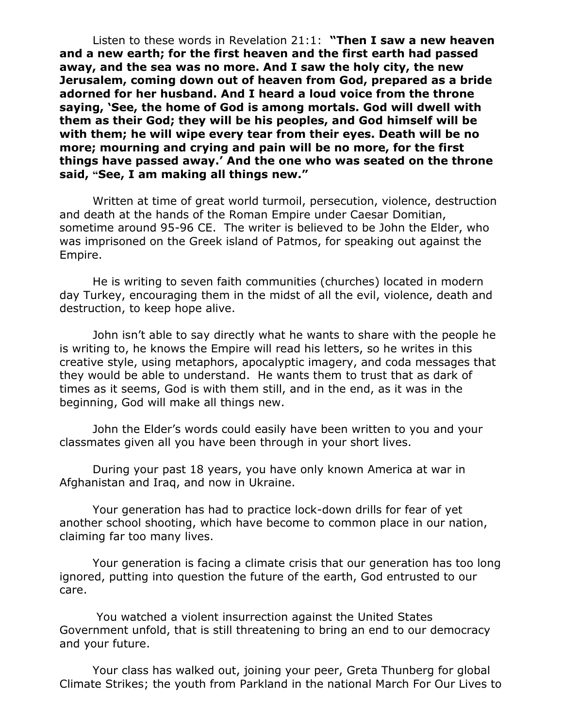Listen to these words in Revelation 21:1: **"Then I saw a new heaven and a new earth; for the first heaven and the first earth had passed away, and the sea was no more. And I saw the holy city, the new Jerusalem, coming down out of heaven from God, prepared as a bride adorned for her husband. And I heard a loud voice from the throne saying, 'See, the home of God is among mortals. God will dwell with them as their God; they will be his peoples, and God himself will be with them; he will wipe every tear from their eyes. Death will be no more; mourning and crying and pain will be no more, for the first things have passed away.' And the one who was seated on the throne said, "See, I am making all things new."**

Written at time of great world turmoil, persecution, violence, destruction and death at the hands of the Roman Empire under Caesar Domitian, sometime around 95-96 CE. The writer is believed to be John the Elder, who was imprisoned on the Greek island of Patmos, for speaking out against the Empire.

He is writing to seven faith communities (churches) located in modern day Turkey, encouraging them in the midst of all the evil, violence, death and destruction, to keep hope alive.

John isn't able to say directly what he wants to share with the people he is writing to, he knows the Empire will read his letters, so he writes in this creative style, using metaphors, apocalyptic imagery, and coda messages that they would be able to understand. He wants them to trust that as dark of times as it seems, God is with them still, and in the end, as it was in the beginning, God will make all things new.

John the Elder's words could easily have been written to you and your classmates given all you have been through in your short lives.

During your past 18 years, you have only known America at war in Afghanistan and Iraq, and now in Ukraine.

Your generation has had to practice lock-down drills for fear of yet another school shooting, which have become to common place in our nation, claiming far too many lives.

Your generation is facing a climate crisis that our generation has too long ignored, putting into question the future of the earth, God entrusted to our care.

You watched a violent insurrection against the United States Government unfold, that is still threatening to bring an end to our democracy and your future.

Your class has walked out, joining your peer, Greta Thunberg for global Climate Strikes; the youth from Parkland in the national March For Our Lives to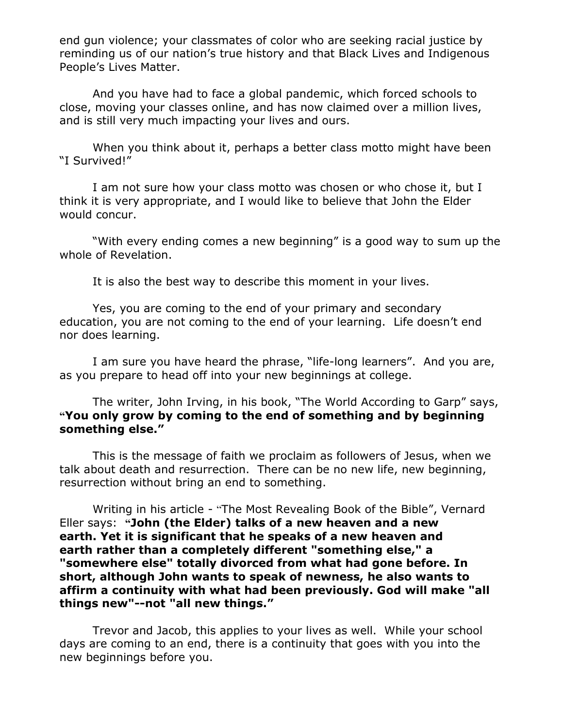end gun violence; your classmates of color who are seeking racial justice by reminding us of our nation's true history and that Black Lives and Indigenous People's Lives Matter.

And you have had to face a global pandemic, which forced schools to close, moving your classes online, and has now claimed over a million lives, and is still very much impacting your lives and ours.

When you think about it, perhaps a better class motto might have been "I Survived!"

I am not sure how your class motto was chosen or who chose it, but I think it is very appropriate, and I would like to believe that John the Elder would concur.

"With every ending comes a new beginning" is a good way to sum up the whole of Revelation.

It is also the best way to describe this moment in your lives.

Yes, you are coming to the end of your primary and secondary education, you are not coming to the end of your learning. Life doesn't end nor does learning.

I am sure you have heard the phrase, "life-long learners". And you are, as you prepare to head off into your new beginnings at college.

The writer, John Irving, in his book, "The World According to Garp" says, **"You only grow by coming to the end of something and by beginning something else."**

This is the message of faith we proclaim as followers of Jesus, when we talk about death and resurrection. There can be no new life, new beginning, resurrection without bring an end to something.

Writing in his article - "The Most Revealing Book of the Bible", Vernard Eller says: **"John (the Elder) talks of a new heaven and a new earth. Yet it is significant that he speaks of a new heaven and earth rather than a completely different "something else," a "somewhere else" totally divorced from what had gone before. In short, although John wants to speak of newness, he also wants to affirm a continuity with what had been previously. God will make "all things new"--not "all new things."**

Trevor and Jacob, this applies to your lives as well. While your school days are coming to an end, there is a continuity that goes with you into the new beginnings before you.